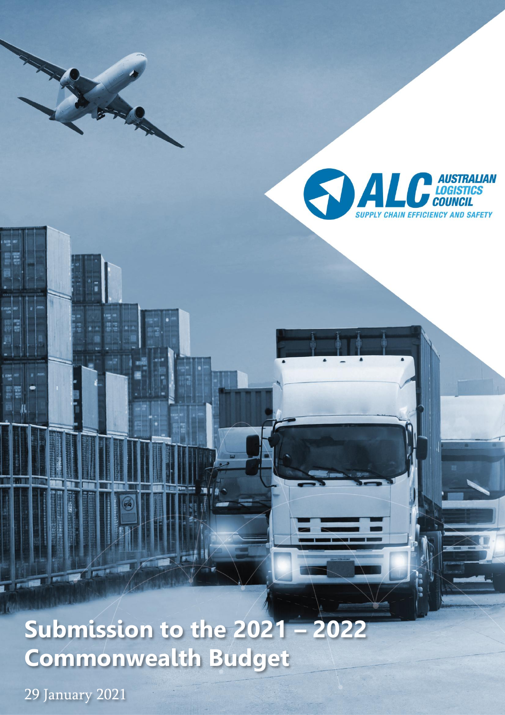

# **Submission to the 2021 – 2022 Commonwealth Budget**

29 January 2021

ĺ

回相  $\mu$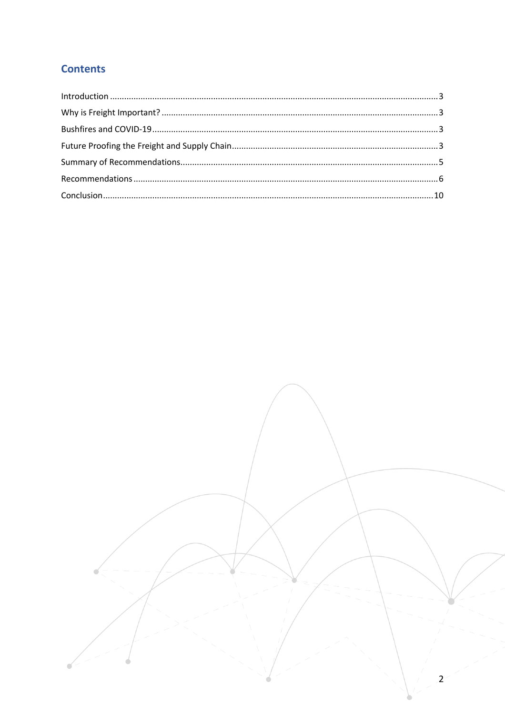# **Contents**

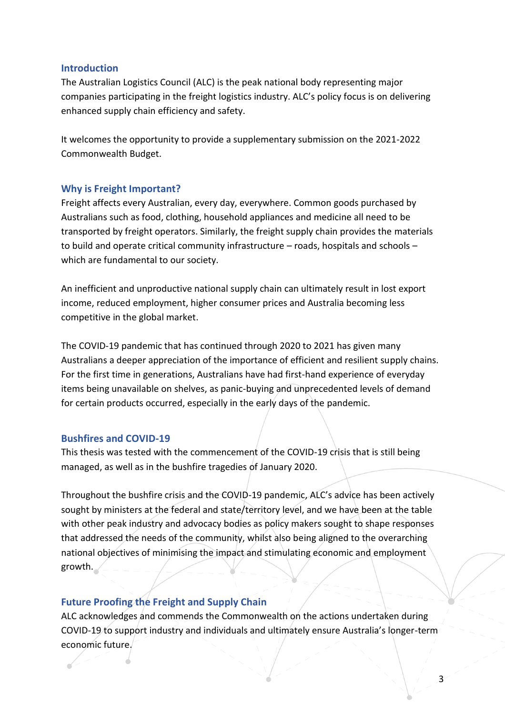#### <span id="page-2-0"></span>**Introduction**

The Australian Logistics Council (ALC) is the peak national body representing major companies participating in the freight logistics industry. ALC's policy focus is on delivering enhanced supply chain efficiency and safety.

It welcomes the opportunity to provide a supplementary submission on the 2021-2022 Commonwealth Budget.

#### <span id="page-2-1"></span>**Why is Freight Important?**

Freight affects every Australian, every day, everywhere. Common goods purchased by Australians such as food, clothing, household appliances and medicine all need to be transported by freight operators. Similarly, the freight supply chain provides the materials to build and operate critical community infrastructure – roads, hospitals and schools – which are fundamental to our society.

An inefficient and unproductive national supply chain can ultimately result in lost export income, reduced employment, higher consumer prices and Australia becoming less competitive in the global market.

The COVID-19 pandemic that has continued through 2020 to 2021 has given many Australians a deeper appreciation of the importance of efficient and resilient supply chains. For the first time in generations, Australians have had first-hand experience of everyday items being unavailable on shelves, as panic-buying and unprecedented levels of demand for certain products occurred, especially in the early days of the pandemic.

#### <span id="page-2-2"></span>**Bushfires and COVID-19**

This thesis was tested with the commencement of the COVID-19 crisis that is still being managed, as well as in the bushfire tragedies of January 2020.

Throughout the bushfire crisis and the COVID-19 pandemic, ALC's advice has been actively sought by ministers at the federal and state/territory level, and we have been at the table with other peak industry and advocacy bodies as policy makers sought to shape responses that addressed the needs of the community, whilst also being aligned to the overarching national objectives of minimising the impact and stimulating economic and employment growth.

# <span id="page-2-3"></span>**Future Proofing the Freight and Supply Chain**

ALC acknowledges and commends the Commonwealth on the actions undertaken during COVID-19 to support industry and individuals and ultimately ensure Australia's longer-term economic future.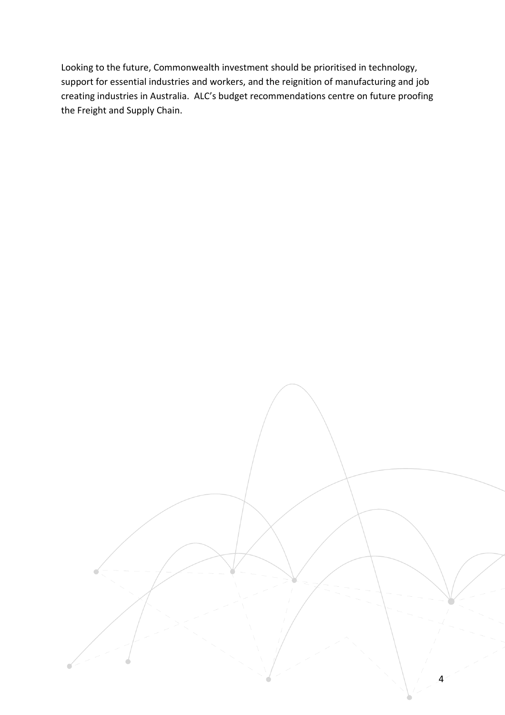Looking to the future, Commonwealth investment should be prioritised in technology, support for essential industries and workers, and the reignition of manufacturing and job creating industries in Australia. ALC's budget recommendations centre on future proofing the Freight and Supply Chain.

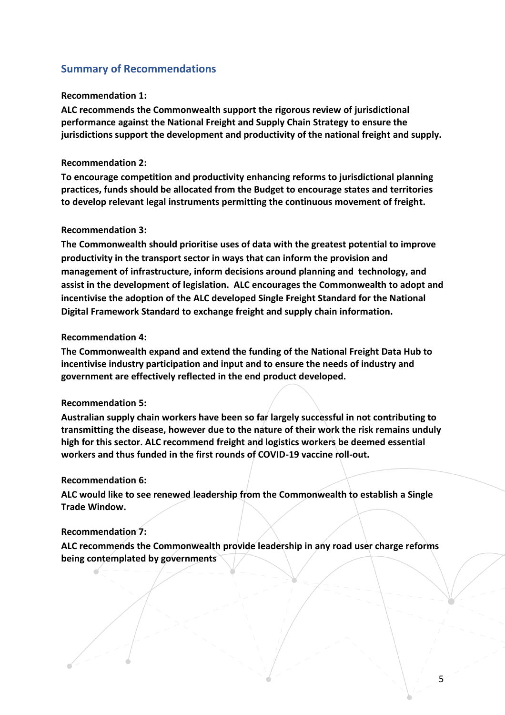# <span id="page-4-0"></span>**Summary of Recommendations**

#### **Recommendation 1:**

**ALC recommends the Commonwealth support the rigorous review of jurisdictional performance against the National Freight and Supply Chain Strategy to ensure the jurisdictions support the development and productivity of the national freight and supply.**

#### **Recommendation 2:**

**To encourage competition and productivity enhancing reforms to jurisdictional planning practices, funds should be allocated from the Budget to encourage states and territories to develop relevant legal instruments permitting the continuous movement of freight.**

#### **Recommendation 3:**

**The Commonwealth should prioritise uses of data with the greatest potential to improve productivity in the transport sector in ways that can inform the provision and management of infrastructure, inform decisions around planning and technology, and assist in the development of legislation. ALC encourages the Commonwealth to adopt and incentivise the adoption of the ALC developed Single Freight Standard for the National Digital Framework Standard to exchange freight and supply chain information.**

#### **Recommendation 4:**

**The Commonwealth expand and extend the funding of the National Freight Data Hub to incentivise industry participation and input and to ensure the needs of industry and government are effectively reflected in the end product developed.** 

#### **Recommendation 5:**

**Australian supply chain workers have been so far largely successful in not contributing to transmitting the disease, however due to the nature of their work the risk remains unduly high for this sector. ALC recommend freight and logistics workers be deemed essential workers and thus funded in the first rounds of COVID-19 vaccine roll-out.** 

#### **Recommendation 6:**

**ALC would like to see renewed leadership from the Commonwealth to establish a Single Trade Window.**

#### **Recommendation 7:**

**ALC recommends the Commonwealth provide leadership in any road user charge reforms being contemplated by governments**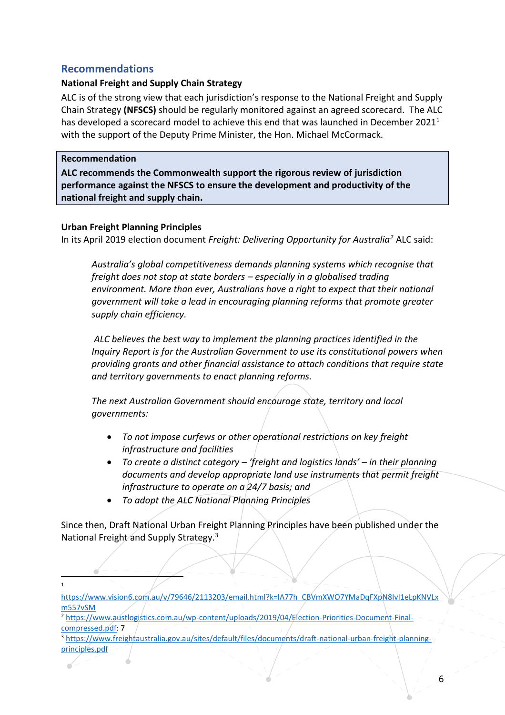# <span id="page-5-0"></span>**Recommendations**

# **National Freight and Supply Chain Strategy**

ALC is of the strong view that each jurisdiction's response to the National Freight and Supply Chain Strategy **(NFSCS)** should be regularly monitored against an agreed scorecard. The ALC has developed a scorecard model to achieve this end that was launched in December 2021<sup>1</sup> with the support of the Deputy Prime Minister, the Hon. Michael McCormack.

#### **Recommendation**

**ALC recommends the Commonwealth support the rigorous review of jurisdiction performance against the NFSCS to ensure the development and productivity of the national freight and supply chain.**

# **Urban Freight Planning Principles**

In its April 2019 election document *Freight: Delivering Opportunity for Australia<sup>2</sup>* ALC said:

*Australia's global competitiveness demands planning systems which recognise that freight does not stop at state borders – especially in a globalised trading environment. More than ever, Australians have a right to expect that their national government will take a lead in encouraging planning reforms that promote greater supply chain efficiency.*

*ALC believes the best way to implement the planning practices identified in the Inquiry Report is for the Australian Government to use its constitutional powers when providing grants and other financial assistance to attach conditions that require state and territory governments to enact planning reforms.* 

*The next Australian Government should encourage state, territory and local governments:* 

- *To not impose curfews or other operational restrictions on key freight infrastructure and facilities*
- *To create a distinct category – 'freight and logistics lands' – in their planning documents and develop appropriate land use instruments that permit freight infrastructure to operate on a 24/7 basis; and*
- *To adopt the ALC National Planning Principles*

Since then, Draft National Urban Freight Planning Principles have been published under the National Freight and Supply Strategy.<sup>3</sup>

<sup>1</sup>

[https://www.vision6.com.au/v/79646/2113203/email.html?k=lA77h\\_CBVmXWO7YMaDqFXpN8IvI1eLpKNVLx](https://www.vision6.com.au/v/79646/2113203/email.html?k=lA77h_CBVmXWO7YMaDqFXpN8IvI1eLpKNVLxm557vSM) [m557vSM](https://www.vision6.com.au/v/79646/2113203/email.html?k=lA77h_CBVmXWO7YMaDqFXpN8IvI1eLpKNVLxm557vSM)

<sup>&</sup>lt;sup>2</sup> [https://www.austlogistics.com.au/wp-content/uploads/2019/04/Election-Priorities-Document-Final](https://www.austlogistics.com.au/wp-content/uploads/2019/04/Election-Priorities-Document-Final-compressed.pdf)[compressed.pdf:](https://www.austlogistics.com.au/wp-content/uploads/2019/04/Election-Priorities-Document-Final-compressed.pdf) 7

<sup>3</sup> [https://www.freightaustralia.gov.au/sites/default/files/documents/draft-national-urban-freight-planning](https://www.freightaustralia.gov.au/sites/default/files/documents/draft-national-urban-freight-planning-principles.pdf)[principles.pdf](https://www.freightaustralia.gov.au/sites/default/files/documents/draft-national-urban-freight-planning-principles.pdf)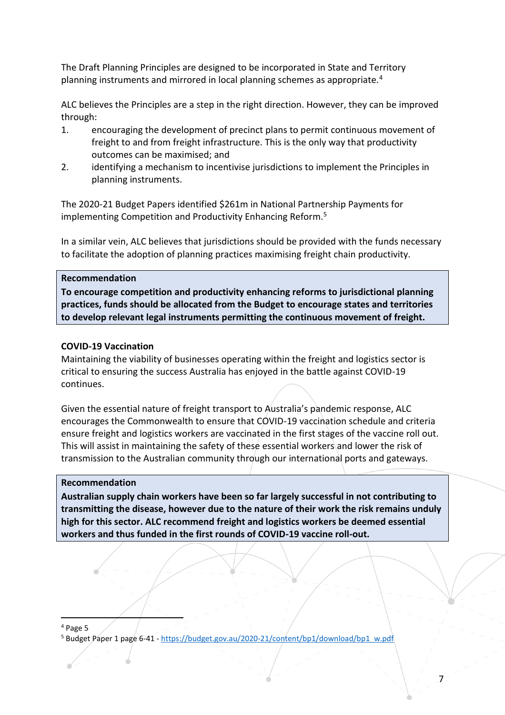The Draft Planning Principles are designed to be incorporated in State and Territory planning instruments and mirrored in local planning schemes as appropriate.<sup>4</sup>

ALC believes the Principles are a step in the right direction. However, they can be improved through:

- 1. encouraging the development of precinct plans to permit continuous movement of freight to and from freight infrastructure. This is the only way that productivity outcomes can be maximised; and
- 2. identifying a mechanism to incentivise jurisdictions to implement the Principles in planning instruments.

The 2020-21 Budget Papers identified \$261m in National Partnership Payments for implementing Competition and Productivity Enhancing Reform.<sup>5</sup>

In a similar vein, ALC believes that jurisdictions should be provided with the funds necessary to facilitate the adoption of planning practices maximising freight chain productivity.

#### **Recommendation**

**To encourage competition and productivity enhancing reforms to jurisdictional planning practices, funds should be allocated from the Budget to encourage states and territories to develop relevant legal instruments permitting the continuous movement of freight.**

#### **COVID-19 Vaccination**

Maintaining the viability of businesses operating within the freight and logistics sector is critical to ensuring the success Australia has enjoyed in the battle against COVID-19 continues.

Given the essential nature of freight transport to Australia's pandemic response, ALC encourages the Commonwealth to ensure that COVID-19 vaccination schedule and criteria ensure freight and logistics workers are vaccinated in the first stages of the vaccine roll out. This will assist in maintaining the safety of these essential workers and lower the risk of transmission to the Australian community through our international ports and gateways.

#### **Recommendation**

**Australian supply chain workers have been so far largely successful in not contributing to transmitting the disease, however due to the nature of their work the risk remains unduly high for this sector. ALC recommend freight and logistics workers be deemed essential workers and thus funded in the first rounds of COVID-19 vaccine roll-out.** 

<sup>4</sup> Page 5

<sup>5</sup> Budget Paper 1 page 6-41 - [https://budget.gov.au/2020-21/content/bp1/download/bp1\\_w.pdf](https://budget.gov.au/2020-21/content/bp1/download/bp1_w.pdf)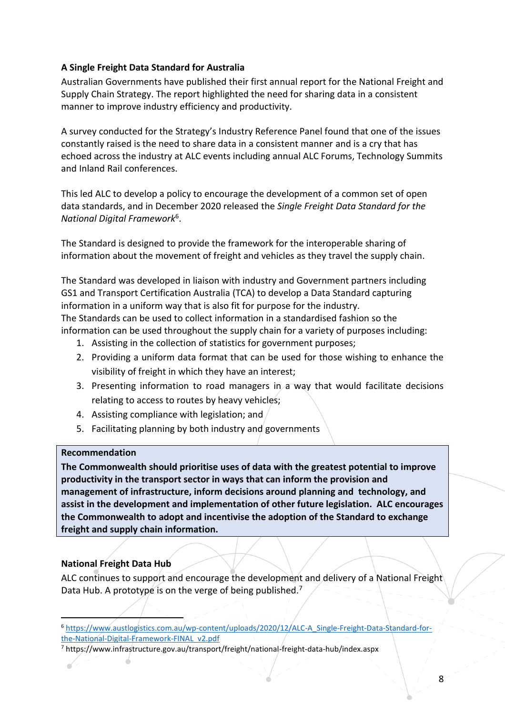## **A Single Freight Data Standard for Australia**

Australian Governments have published their first annual report for the National Freight and Supply Chain Strategy. The report highlighted the need for sharing data in a consistent manner to improve industry efficiency and productivity.

A survey conducted for the Strategy's Industry Reference Panel found that one of the issues constantly raised is the need to share data in a consistent manner and is a cry that has echoed across the industry at ALC events including annual ALC Forums, Technology Summits and Inland Rail conferences.

This led ALC to develop a policy to encourage the development of a common set of open data standards, and in December 2020 released the *Single Freight Data Standard for the National Digital Framework*<sup>6</sup> .

The Standard is designed to provide the framework for the interoperable sharing of information about the movement of freight and vehicles as they travel the supply chain.

The Standard was developed in liaison with industry and Government partners including GS1 and Transport Certification Australia (TCA) to develop a Data Standard capturing information in a uniform way that is also fit for purpose for the industry. The Standards can be used to collect information in a standardised fashion so the information can be used throughout the supply chain for a variety of purposes including:

- 1. Assisting in the collection of statistics for government purposes;
- 2. Providing a uniform data format that can be used for those wishing to enhance the visibility of freight in which they have an interest;
- 3. Presenting information to road managers in a way that would facilitate decisions relating to access to routes by heavy vehicles;
- 4. Assisting compliance with legislation; and
- 5. Facilitating planning by both industry and governments

#### **Recommendation**

**The Commonwealth should prioritise uses of data with the greatest potential to improve productivity in the transport sector in ways that can inform the provision and management of infrastructure, inform decisions around planning and technology, and assist in the development and implementation of other future legislation. ALC encourages the Commonwealth to adopt and incentivise the adoption of the Standard to exchange freight and supply chain information.**

# **National Freight Data Hub**

ALC continues to support and encourage the development and delivery of a National Freight Data Hub. A prototype is on the verge of being published.<sup>7</sup>

<sup>6</sup> [https://www.austlogistics.com.au/wp-content/uploads/2020/12/ALC-A\\_Single-Freight-Data-Standard-for](https://www.austlogistics.com.au/wp-content/uploads/2020/12/ALC-A_Single-Freight-Data-Standard-for-the-National-Digital-Framework-FINAL_v2.pdf)[the-National-Digital-Framework-FINAL\\_v2.pdf](https://www.austlogistics.com.au/wp-content/uploads/2020/12/ALC-A_Single-Freight-Data-Standard-for-the-National-Digital-Framework-FINAL_v2.pdf)

<sup>7</sup> https://www.infrastructure.gov.au/transport/freight/national-freight-data-hub/index.aspx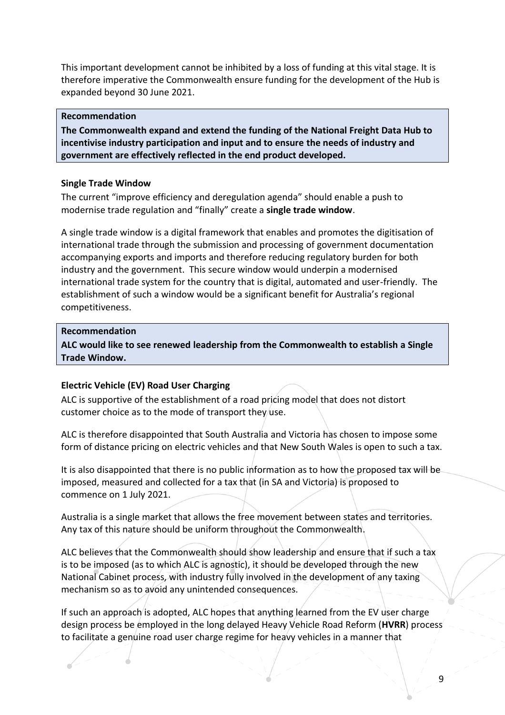This important development cannot be inhibited by a loss of funding at this vital stage. It is therefore imperative the Commonwealth ensure funding for the development of the Hub is expanded beyond 30 June 2021.

#### **Recommendation**

**The Commonwealth expand and extend the funding of the National Freight Data Hub to incentivise industry participation and input and to ensure the needs of industry and government are effectively reflected in the end product developed.** 

#### **Single Trade Window**

The current "improve efficiency and deregulation agenda" should enable a push to modernise trade regulation and "finally" create a **single trade window**.

A single trade window is a digital framework that enables and promotes the digitisation of international trade through the submission and processing of government documentation accompanying exports and imports and therefore reducing regulatory burden for both industry and the government. This secure window would underpin a modernised international trade system for the country that is digital, automated and user-friendly. The establishment of such a window would be a significant benefit for Australia's regional competitiveness.

#### **Recommendation**

**ALC would like to see renewed leadership from the Commonwealth to establish a Single Trade Window.**

#### **Electric Vehicle (EV) Road User Charging**

ALC is supportive of the establishment of a road pricing model that does not distort customer choice as to the mode of transport they use.

ALC is therefore disappointed that South Australia and Victoria has chosen to impose some form of distance pricing on electric vehicles and that New South Wales is open to such a tax.

It is also disappointed that there is no public information as to how the proposed tax will be imposed, measured and collected for a tax that (in SA and Victoria) is proposed to commence on 1 July 2021.

Australia is a single market that allows the free movement between states and territories. Any tax of this nature should be uniform throughout the Commonwealth.

ALC believes that the Commonwealth should show leadership and ensure that if such a tax is to be imposed (as to which ALC is agnostic), it should be developed through the new National Cabinet process, with industry fully involved in the development of any taxing mechanism so as to avoid any unintended consequences.

If such an approach is adopted, ALC hopes that anything learned from the EV user charge design process be employed in the long delayed Heavy Vehicle Road Reform (**HVRR**) process to facilitate a genuine road user charge regime for heavy vehicles in a manner that